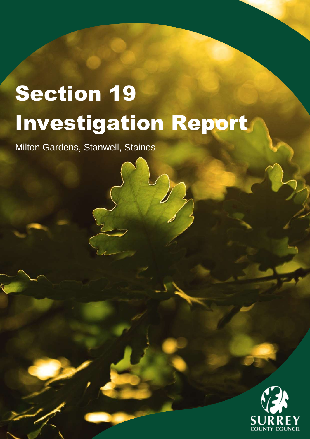# Section 19 Investigation Report

Milton Gardens, Stanwell, Staines

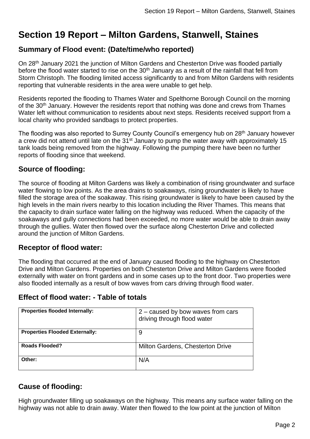# **Section 19 Report – Milton Gardens, Stanwell, Staines**

# **Summary of Flood event: (Date/time/who reported)**

On 28<sup>th</sup> January 2021 the junction of Milton Gardens and Chesterton Drive was flooded partially before the flood water started to rise on the  $30<sup>th</sup>$  January as a result of the rainfall that fell from Storm Christoph. The flooding limited access significantly to and from Milton Gardens with residents reporting that vulnerable residents in the area were unable to get help.

Residents reported the flooding to Thames Water and Spelthorne Borough Council on the morning of the 30<sup>th</sup> January. However the residents report that nothing was done and crews from Thames Water left without communication to residents about next steps. Residents received support from a local charity who provided sandbags to protect properties.

The flooding was also reported to Surrey County Council's emergency hub on 28<sup>th</sup> January however a crew did not attend until late on the 31<sup>st</sup> January to pump the water away with approximately 15 tank loads being removed from the highway. Following the pumping there have been no further reports of flooding since that weekend.

# **Source of flooding:**

The source of flooding at Milton Gardens was likely a combination of rising groundwater and surface water flowing to low points. As the area drains to soakaways, rising groundwater is likely to have filled the storage area of the soakaway. This rising groundwater is likely to have been caused by the high levels in the main rivers nearby to this location including the River Thames. This means that the capacity to drain surface water falling on the highway was reduced. When the capacity of the soakaways and gully connections had been exceeded, no more water would be able to drain away through the gullies. Water then flowed over the surface along Chesterton Drive and collected around the junction of Milton Gardens.

# **Receptor of flood water:**

The flooding that occurred at the end of January caused flooding to the highway on Chesterton Drive and Milton Gardens. Properties on both Chesterton Drive and Milton Gardens were flooded externally with water on front gardens and in some cases up to the front door. Two properties were also flooded internally as a result of bow waves from cars driving through flood water.

# **Effect of flood water: - Table of totals**

| <b>Properties flooded Internally:</b> | 2 – caused by bow waves from cars<br>driving through flood water |
|---------------------------------------|------------------------------------------------------------------|
| <b>Properties Flooded Externally:</b> | 9                                                                |
| Roads Flooded?                        | Milton Gardens, Chesterton Drive                                 |
| Other:                                | N/A                                                              |

# **Cause of flooding:**

High groundwater filling up soakaways on the highway. This means any surface water falling on the highway was not able to drain away. Water then flowed to the low point at the junction of Milton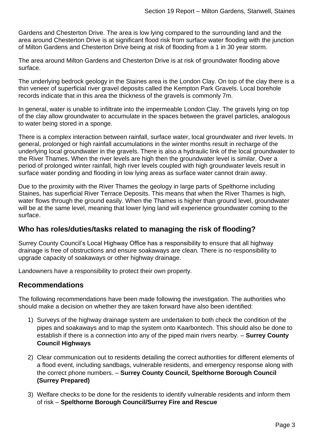Gardens and Chesterton Drive. The area is low lying compared to the surrounding land and the area around Chesterton Drive is at significant flood risk from surface water flooding with the junction of Milton Gardens and Chesterton Drive being at risk of flooding from a 1 in 30 year storm.

The area around Milton Gardens and Chesterton Drive is at risk of groundwater flooding above surface.

The underlying bedrock geology in the Staines area is the London Clay. On top of the clay there is a thin veneer of superficial river gravel deposits called the Kempton Park Gravels. Local borehole records indicate that in this area the thickness of the gravels is commonly 7m.

In general, water is unable to infiltrate into the impermeable London Clay. The gravels lying on top of the clay allow groundwater to accumulate in the spaces between the gravel particles, analogous to water being stored in a sponge.

There is a complex interaction between rainfall, surface water, local groundwater and river levels. In general, prolonged or high rainfall accumulations in the winter months result in recharge of the underlying local groundwater in the gravels. There is also a hydraulic link of the local groundwater to the River Thames. When the river levels are high then the groundwater level is similar. Over a period of prolonged winter rainfall, high river levels coupled with high groundwater levels result in surface water ponding and flooding in low lying areas as surface water cannot drain away.

Due to the proximity with the River Thames the geology in large parts of Spelthorne including Staines, has superficial River Terrace Deposits. This means that when the River Thames is high, water flows through the ground easily. When the Thames is higher than ground level, groundwater will be at the same level, meaning that lower lying land will experience groundwater coming to the surface.

#### **Who has roles/duties/tasks related to managing the risk of flooding?**

Surrey County Council's Local Highway Office has a responsibility to ensure that all highway drainage is free of obstructions and ensure soakaways are clean. There is no responsibility to upgrade capacity of soakaways or other highway drainage.

Landowners have a responsibility to protect their own property.

#### **Recommendations**

The following recommendations have been made following the investigation. The authorities who should make a decision on whether they are taken forward have also been identified:

- 1) Surveys of the highway drainage system are undertaken to both check the condition of the pipes and soakaways and to map the system onto Kaarbontech. This should also be done to establish if there is a connection into any of the piped main rivers nearby. – **Surrey County Council Highways**
- 2) Clear communication out to residents detailing the correct authorities for different elements of a flood event, including sandbags, vulnerable residents, and emergency response along with the correct phone numbers. – **Surrey County Council, Spelthorne Borough Council (Surrey Prepared)**
- 3) Welfare checks to be done for the residents to identify vulnerable residents and inform them of risk – **Spelthorne Borough Council/Surrey Fire and Rescue**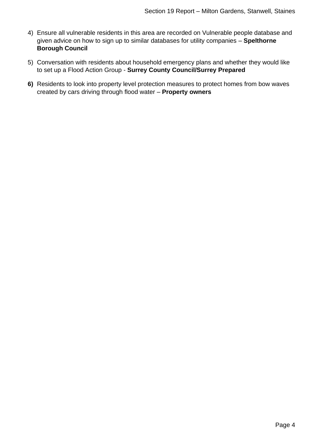- 4) Ensure all vulnerable residents in this area are recorded on Vulnerable people database and given advice on how to sign up to similar databases for utility companies – **Spelthorne Borough Council**
- 5) Conversation with residents about household emergency plans and whether they would like to set up a Flood Action Group - **Surrey County Council/Surrey Prepared**
- **6)** Residents to look into property level protection measures to protect homes from bow waves created by cars driving through flood water – **Property owners**